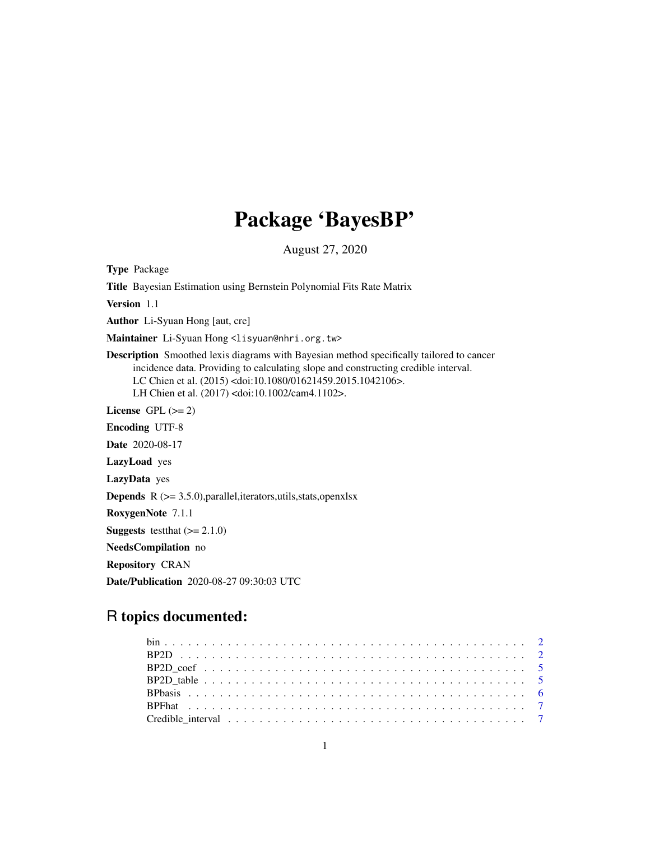## Package 'BayesBP'

August 27, 2020

Type Package

Title Bayesian Estimation using Bernstein Polynomial Fits Rate Matrix

Version 1.1

Author Li-Syuan Hong [aut, cre]

Maintainer Li-Syuan Hong <lisyuan@nhri.org.tw>

Description Smoothed lexis diagrams with Bayesian method specifically tailored to cancer incidence data. Providing to calculating slope and constructing credible interval. LC Chien et al. (2015) <doi:10.1080/01621459.2015.1042106>. LH Chien et al. (2017) <doi:10.1002/cam4.1102>.

License GPL  $(>= 2)$ 

Encoding UTF-8

Date 2020-08-17

LazyLoad yes

LazyData yes

**Depends** R  $(>= 3.5.0)$ , parallel, iterators, utils, stats, openxlsx

RoxygenNote 7.1.1

**Suggests** test that  $(>= 2.1.0)$ 

NeedsCompilation no

Repository CRAN

Date/Publication 2020-08-27 09:30:03 UTC

### R topics documented: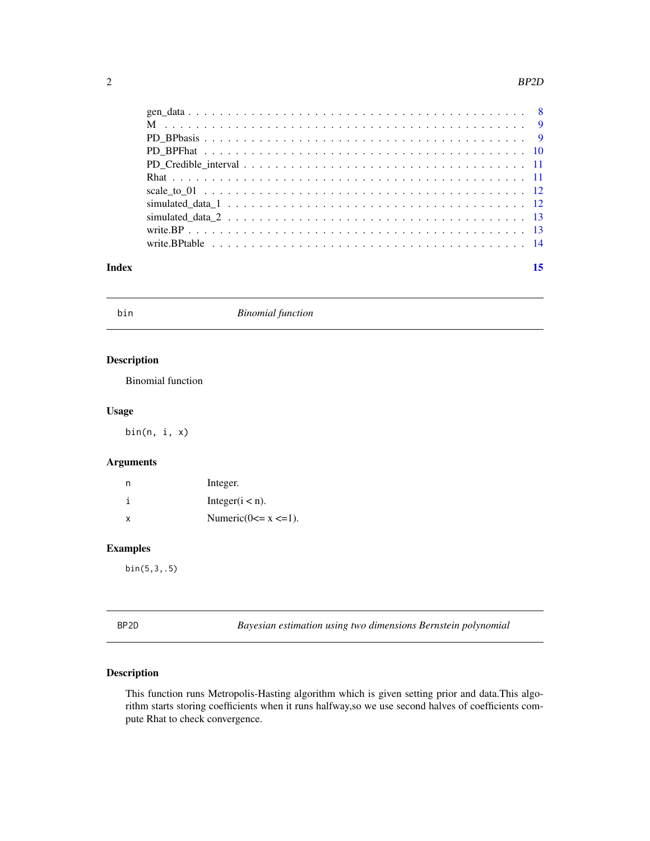#### <span id="page-1-0"></span>2  $BP2D$

#### **Index** [15](#page-14-0)

bin *Binomial function*

#### Description

Binomial function

#### Usage

bin(n, i, x)

#### Arguments

|   | Integer.                    |
|---|-----------------------------|
| i | Integer( $i < n$ ).         |
| x | Numeric( $0 \le x \le 1$ ). |

#### Examples

bin(5,3,.5)

<span id="page-1-1"></span>BP2D *Bayesian estimation using two dimensions Bernstein polynomial*

#### Description

This function runs Metropolis-Hasting algorithm which is given setting prior and data.This algorithm starts storing coefficients when it runs halfway,so we use second halves of coefficients compute Rhat to check convergence.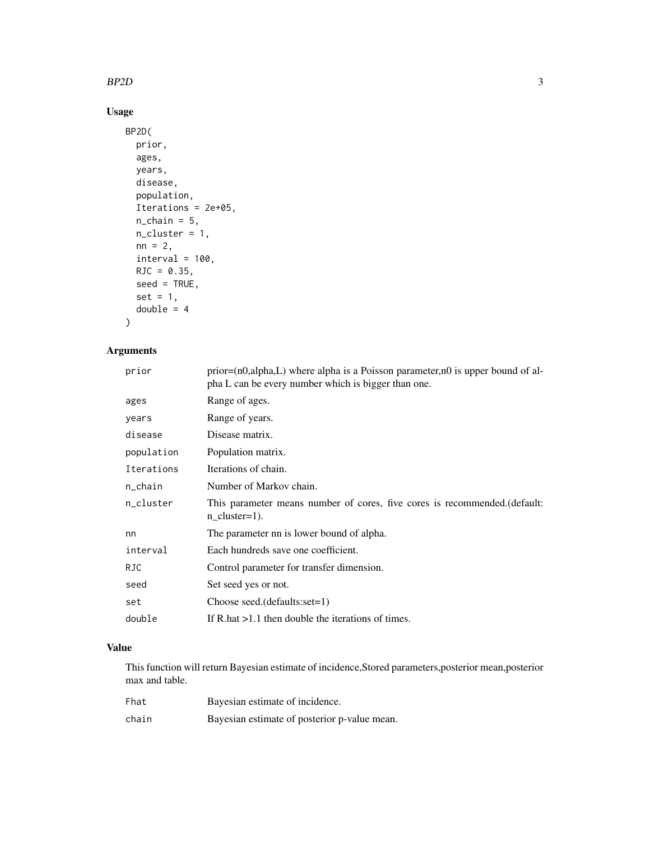#### $BP2D$  3

#### Usage

```
BP2D(
  prior,
  ages,
 years,
 disease,
 population,
  Iterations = 2e+05,
 n_{\text{chain}} = 5,
 n_cluster = 1,
 nn = 2,
 interval = 100,RJC = 0.35,seed = TRUE,set = 1,
 double = 4)
```
#### Arguments

| prior      | $prior=(n0,alpha, L)$ where alpha is a Poisson parameter, no is upper bound of al-<br>pha L can be every number which is bigger than one. |
|------------|-------------------------------------------------------------------------------------------------------------------------------------------|
| ages       | Range of ages.                                                                                                                            |
| years      | Range of years.                                                                                                                           |
| disease    | Disease matrix.                                                                                                                           |
| population | Population matrix.                                                                                                                        |
| Iterations | Iterations of chain.                                                                                                                      |
| n_chain    | Number of Markov chain.                                                                                                                   |
| n_cluster  | This parameter means number of cores, five cores is recommended. (default:<br>$n$ cluster=1).                                             |
| nn         | The parameter nn is lower bound of alpha.                                                                                                 |
| interval   | Each hundreds save one coefficient.                                                                                                       |
| RJC.       | Control parameter for transfer dimension.                                                                                                 |
| seed       | Set seed yes or not.                                                                                                                      |
| set        | Choose seed.(defaults:set=1)                                                                                                              |
| double     | If R hat $>1.1$ then double the iterations of times.                                                                                      |

#### Value

This function will return Bayesian estimate of incidence,Stored parameters,posterior mean,posterior max and table.

| Fhat  | Bayesian estimate of incidence.              |
|-------|----------------------------------------------|
| chain | Bayesian estimate of posterior p-value mean. |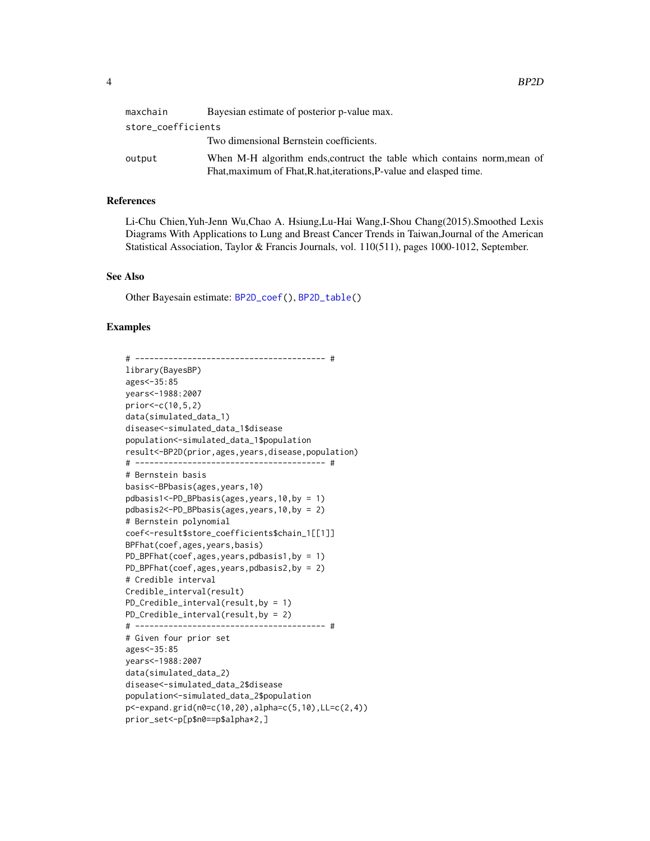<span id="page-3-0"></span>

| maxchain           | Bayesian estimate of posterior p-value max.                              |
|--------------------|--------------------------------------------------------------------------|
| store_coefficients |                                                                          |
|                    | Two dimensional Bernstein coefficients.                                  |
| output             | When M-H algorithm ends, contruct the table which contains norm, mean of |
|                    | Fhat, maximum of Fhat, R.hat, iterations, P-value and elasped time.      |

#### References

Li-Chu Chien,Yuh-Jenn Wu,Chao A. Hsiung,Lu-Hai Wang,I-Shou Chang(2015).Smoothed Lexis Diagrams With Applications to Lung and Breast Cancer Trends in Taiwan,Journal of the American Statistical Association, Taylor & Francis Journals, vol. 110(511), pages 1000-1012, September.

#### See Also

Other Bayesain estimate: [BP2D\\_coef\(](#page-4-1)), [BP2D\\_table\(](#page-4-2))

#### Examples

# ---------------------------------------- # library(BayesBP) ages<-35:85 years<-1988:2007 prior<-c(10,5,2) data(simulated\_data\_1) disease<-simulated\_data\_1\$disease population<-simulated\_data\_1\$population result<-BP2D(prior,ages,years,disease,population) # ---------------------------------------- # # Bernstein basis basis<-BPbasis(ages,years,10) pdbasis1<-PD\_BPbasis(ages,years,10,by = 1) pdbasis2<-PD\_BPbasis(ages,years,10,by = 2) # Bernstein polynomial coef<-result\$store\_coefficients\$chain\_1[[1]] BPFhat(coef,ages,years,basis) PD\_BPFhat(coef,ages,years,pdbasis1,by = 1) PD\_BPFhat(coef,ages,years,pdbasis2,by = 2) # Credible interval Credible\_interval(result) PD\_Credible\_interval(result,by = 1) PD\_Credible\_interval(result,by = 2) # ---------------------------------------- # # Given four prior set ages<-35:85 years<-1988:2007 data(simulated\_data\_2) disease<-simulated\_data\_2\$disease population<-simulated\_data\_2\$population p<-expand.grid(n0=c(10,20),alpha=c(5,10),LL=c(2,4)) prior\_set<-p[p\$n0==p\$alpha\*2,]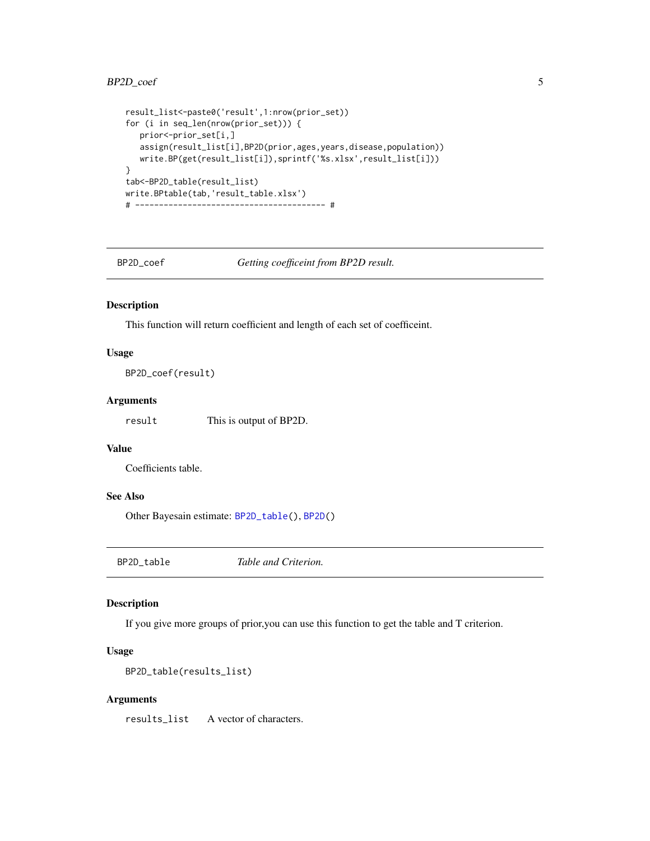```
result_list<-paste0('result',1:nrow(prior_set))
for (i in seq_len(nrow(prior_set))) {
  prior<-prior_set[i,]
   assign(result_list[i],BP2D(prior,ages,years,disease,population))
   write.BP(get(result_list[i]),sprintf('%s.xlsx',result_list[i]))
}
tab<-BP2D_table(result_list)
write.BPtable(tab,'result_table.xlsx')
# ---------------------------------------- #
```
<span id="page-4-1"></span>BP2D\_coef *Getting coefficeint from BP2D result.*

#### Description

This function will return coefficient and length of each set of coefficeint.

#### Usage

BP2D\_coef(result)

#### Arguments

result This is output of BP2D.

#### Value

Coefficients table.

#### See Also

Other Bayesain estimate: [BP2D\\_table\(](#page-4-2)), [BP2D\(](#page-1-1))

<span id="page-4-2"></span>BP2D\_table *Table and Criterion.*

#### Description

If you give more groups of prior,you can use this function to get the table and T criterion.

#### Usage

```
BP2D_table(results_list)
```
#### Arguments

results\_list A vector of characters.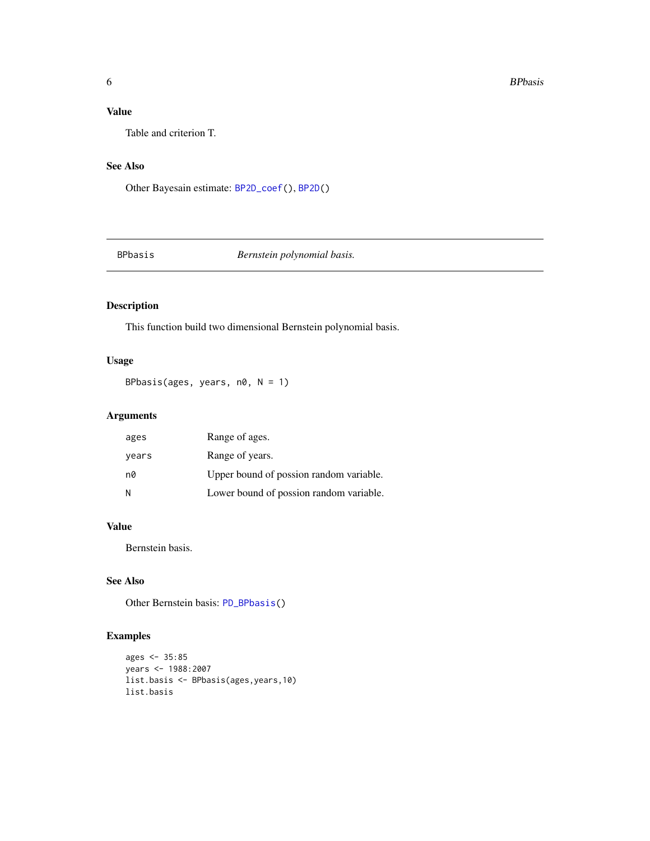#### <span id="page-5-0"></span>Value

Table and criterion T.

#### See Also

Other Bayesain estimate: [BP2D\\_coef\(](#page-4-1)), [BP2D\(](#page-1-1))

#### <span id="page-5-1"></span>BPbasis *Bernstein polynomial basis.*

#### Description

This function build two dimensional Bernstein polynomial basis.

#### Usage

BPbasis(ages, years,  $n\theta$ ,  $N = 1$ )

#### Arguments

| ages  | Range of ages.                          |
|-------|-----------------------------------------|
| years | Range of years.                         |
| n0    | Upper bound of possion random variable. |
| -N    | Lower bound of possion random variable. |

#### Value

Bernstein basis.

#### See Also

Other Bernstein basis: [PD\\_BPbasis\(](#page-8-1))

#### Examples

```
ages <- 35:85
years <- 1988:2007
list.basis <- BPbasis(ages,years,10)
list.basis
```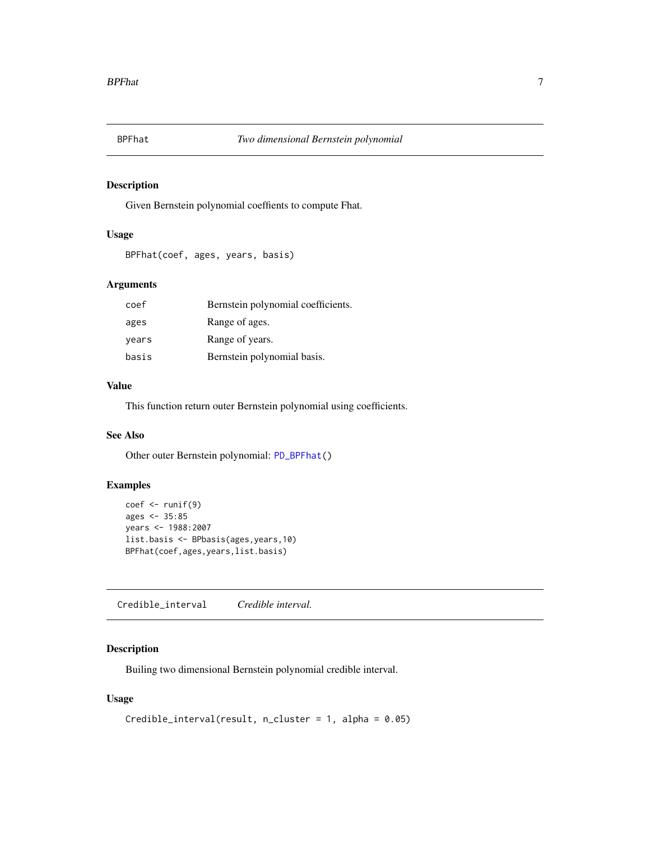<span id="page-6-1"></span><span id="page-6-0"></span>

Given Bernstein polynomial coeffients to compute Fhat.

#### Usage

```
BPFhat(coef, ages, years, basis)
```
#### Arguments

| coef  | Bernstein polynomial coefficients. |
|-------|------------------------------------|
| ages  | Range of ages.                     |
| years | Range of years.                    |
| basis | Bernstein polynomial basis.        |

#### Value

This function return outer Bernstein polynomial using coefficients.

#### See Also

Other outer Bernstein polynomial: [PD\\_BPFhat\(](#page-9-1))

#### Examples

```
coef \leftarrow runif(9)ages \leq 35:85
years <- 1988:2007
list.basis <- BPbasis(ages,years,10)
BPFhat(coef,ages,years,list.basis)
```
<span id="page-6-2"></span>Credible\_interval *Credible interval.*

#### Description

Builing two dimensional Bernstein polynomial credible interval.

#### Usage

```
Credible_interval(result, n_cluster = 1, alpha = 0.05)
```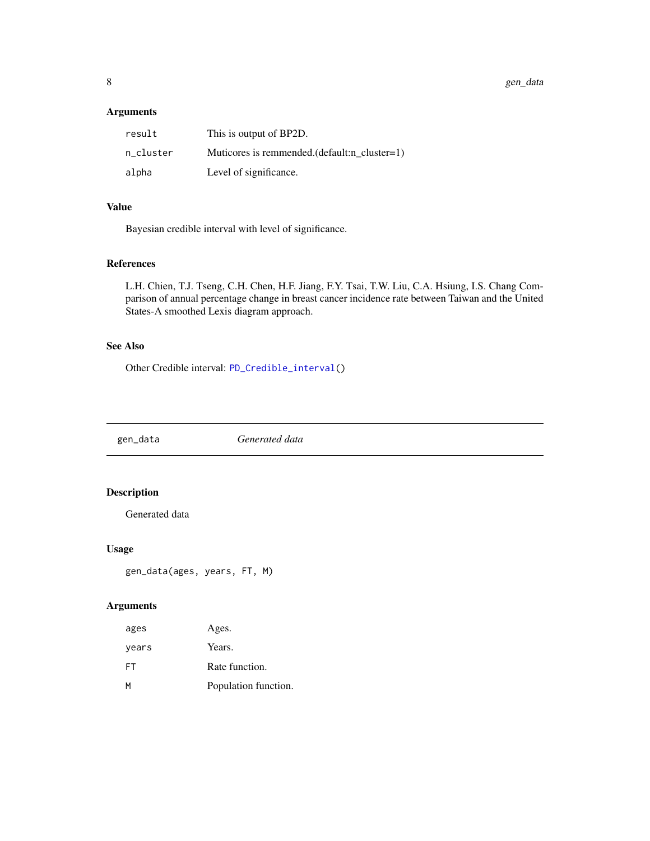#### <span id="page-7-0"></span>Arguments

| result    | This is output of BP2D.                         |
|-----------|-------------------------------------------------|
| n cluster | Muticores is remmended. $(default:n cluster=1)$ |
| alpha     | Level of significance.                          |

#### Value

Bayesian credible interval with level of significance.

#### References

L.H. Chien, T.J. Tseng, C.H. Chen, H.F. Jiang, F.Y. Tsai, T.W. Liu, C.A. Hsiung, I.S. Chang Comparison of annual percentage change in breast cancer incidence rate between Taiwan and the United States-A smoothed Lexis diagram approach.

#### See Also

Other Credible interval: [PD\\_Credible\\_interval\(](#page-10-1))

gen\_data *Generated data*

#### Description

Generated data

#### Usage

```
gen_data(ages, years, FT, M)
```
#### Arguments

| ages  | Ages.                |
|-------|----------------------|
| vears | Years.               |
| FT    | Rate function.       |
| M     | Population function. |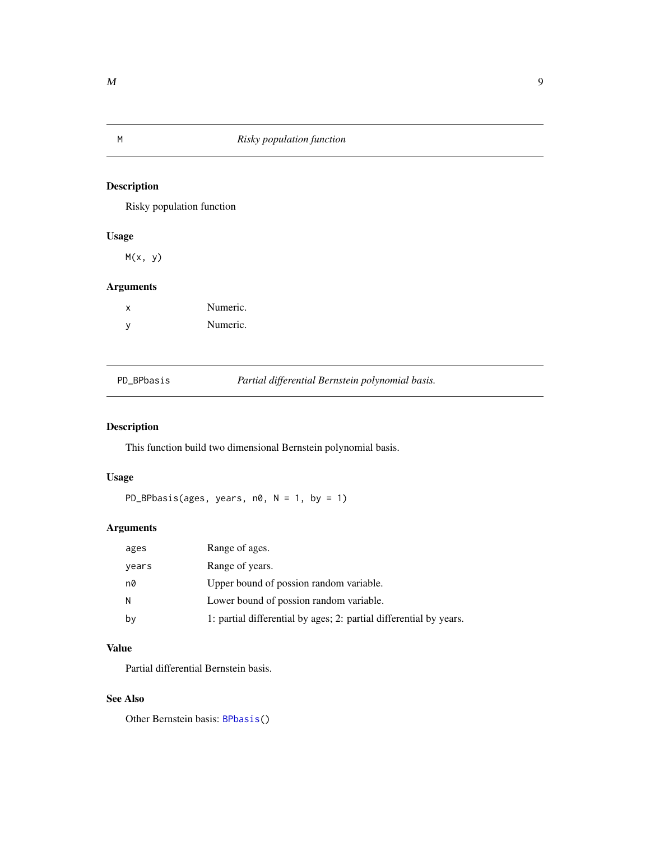<span id="page-8-0"></span>

Risky population function

#### Usage

 $M(x, y)$ 

#### Arguments

| x   | Numeric. |
|-----|----------|
| - V | Numeric. |

<span id="page-8-1"></span>

|  | PD_BPbasis |
|--|------------|
|  |            |

Partial differential Bernstein polynomial basis.

#### Description

This function build two dimensional Bernstein polynomial basis.

#### Usage

PD\_BPbasis(ages, years,  $n\theta$ ,  $N = 1$ , by = 1)

#### Arguments

| ages  | Range of ages.                                                     |
|-------|--------------------------------------------------------------------|
| years | Range of years.                                                    |
| n0    | Upper bound of possion random variable.                            |
| N.    | Lower bound of possion random variable.                            |
| by    | 1: partial differential by ages; 2: partial differential by years. |

#### Value

Partial differential Bernstein basis.

#### See Also

Other Bernstein basis: [BPbasis\(](#page-5-1))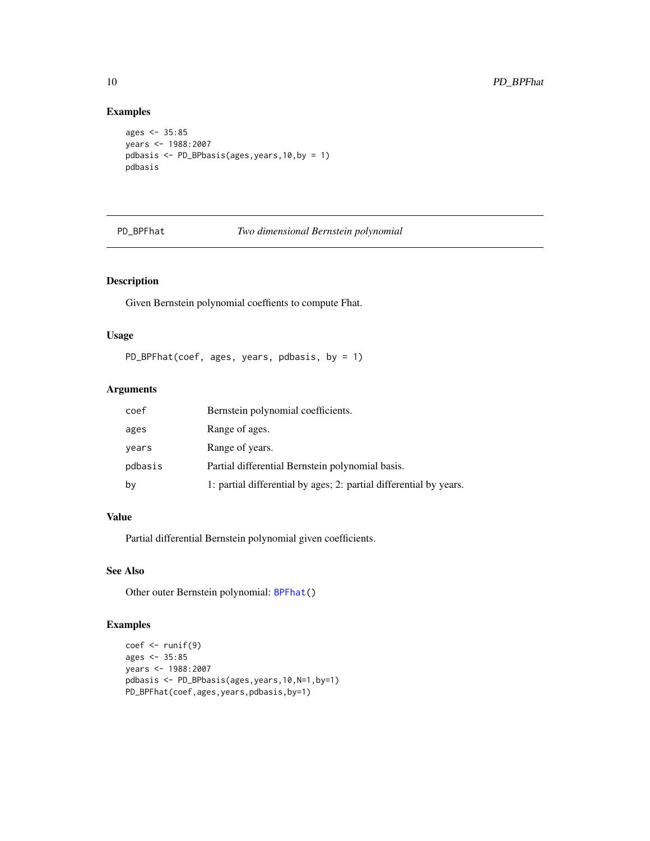#### Examples

```
ages <- 35:85
years <- 1988:2007
pdbasis <- PD_BPbasis(ages,years,10,by = 1)
pdbasis
```
#### <span id="page-9-1"></span>PD\_BPFhat *Two dimensional Bernstein polynomial*

#### Description

Given Bernstein polynomial coeffients to compute Fhat.

#### Usage

PD\_BPFhat(coef, ages, years, pdbasis, by = 1)

#### Arguments

| coef    | Bernstein polynomial coefficients.                                 |
|---------|--------------------------------------------------------------------|
| ages    | Range of ages.                                                     |
| years   | Range of years.                                                    |
| pdbasis | Partial differential Bernstein polynomial basis.                   |
| by      | 1: partial differential by ages; 2: partial differential by years. |

#### Value

Partial differential Bernstein polynomial given coefficients.

#### See Also

Other outer Bernstein polynomial: [BPFhat\(](#page-6-1))

#### Examples

```
coef \leftarrow runif(9)ages <- 35:85
years <- 1988:2007
pdbasis <- PD_BPbasis(ages,years,10,N=1,by=1)
PD_BPFhat(coef,ages,years,pdbasis,by=1)
```
<span id="page-9-0"></span>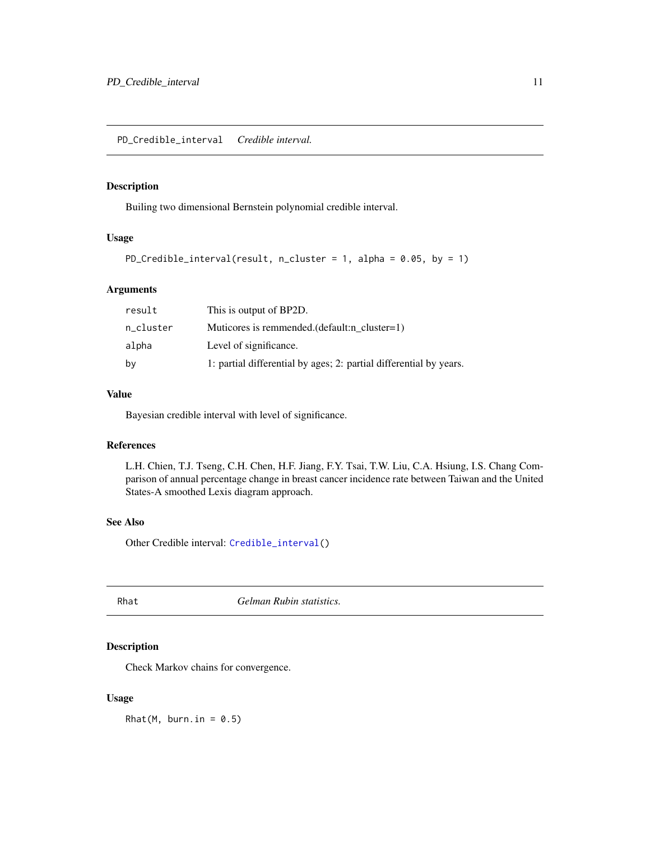<span id="page-10-1"></span><span id="page-10-0"></span>Builing two dimensional Bernstein polynomial credible interval.

#### Usage

```
PD_Credible_interval(result, n_cluster = 1, alpha = 0.05, by = 1)
```
#### Arguments

| result    | This is output of BP2D.                                            |
|-----------|--------------------------------------------------------------------|
| n_cluster | Muticores is remmended. (default:n cluster=1)                      |
| alpha     | Level of significance.                                             |
| by        | 1: partial differential by ages; 2: partial differential by years. |

#### Value

Bayesian credible interval with level of significance.

#### References

L.H. Chien, T.J. Tseng, C.H. Chen, H.F. Jiang, F.Y. Tsai, T.W. Liu, C.A. Hsiung, I.S. Chang Comparison of annual percentage change in breast cancer incidence rate between Taiwan and the United States-A smoothed Lexis diagram approach.

#### See Also

Other Credible interval: [Credible\\_interval\(](#page-6-2))

Rhat *Gelman Rubin statistics.*

#### Description

Check Markov chains for convergence.

#### Usage

 $Rhat(M, burn.in = 0.5)$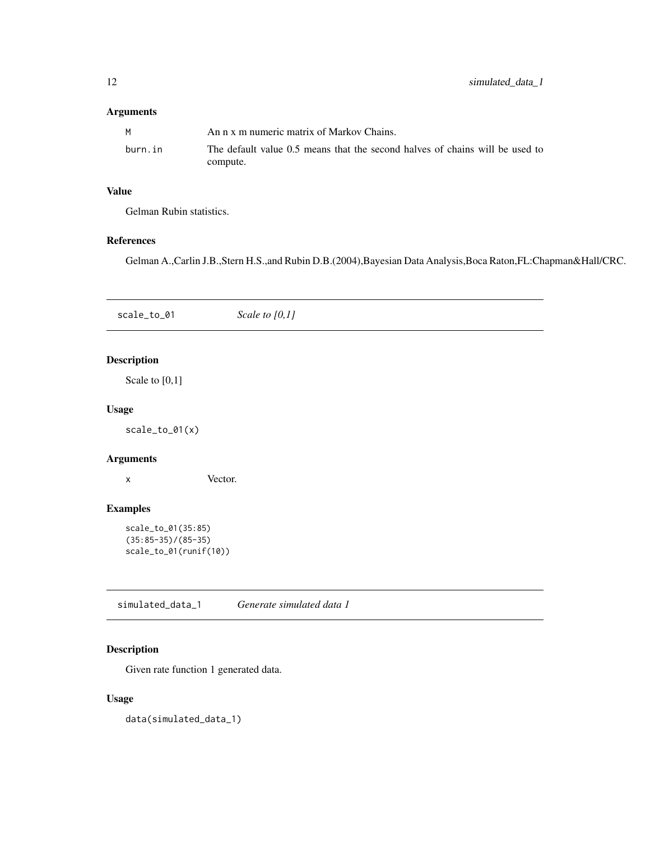#### <span id="page-11-0"></span>Arguments

| M       | An n x m numeric matrix of Markov Chains.                                    |
|---------|------------------------------------------------------------------------------|
| burn.in | The default value 0.5 means that the second halves of chains will be used to |
|         | compute.                                                                     |

#### Value

Gelman Rubin statistics.

#### References

Gelman A.,Carlin J.B.,Stern H.S.,and Rubin D.B.(2004),Bayesian Data Analysis,Boca Raton,FL:Chapman&Hall/CRC.

| scale_to_01                                                          | Scale to $[0,1]$          |
|----------------------------------------------------------------------|---------------------------|
| <b>Description</b>                                                   |                           |
| Scale to $[0,1]$                                                     |                           |
| <b>Usage</b>                                                         |                           |
| $scale_to_01(x)$                                                     |                           |
| <b>Arguments</b>                                                     |                           |
| X                                                                    | Vector.                   |
| <b>Examples</b>                                                      |                           |
| scale_to_01(35:85)<br>$(35:85-35)/(85-35)$<br>scale_to_01(runif(10)) |                           |
| simulated_data_1                                                     | Generate simulated data 1 |

#### Description

Given rate function 1 generated data.

#### Usage

data(simulated\_data\_1)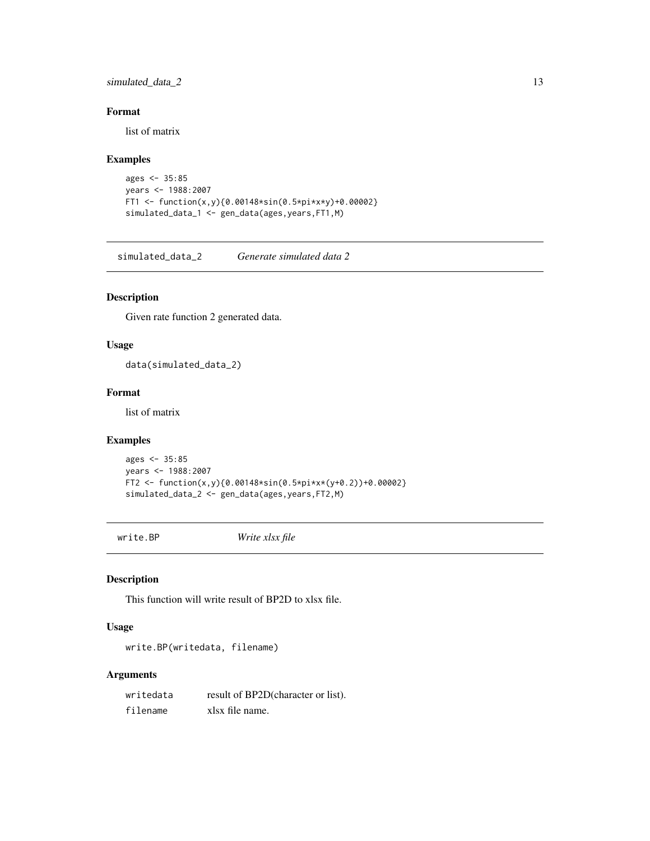#### <span id="page-12-0"></span>simulated\_data\_2 13

#### Format

list of matrix

#### Examples

```
ages <- 35:85
years <- 1988:2007
FT1 <- function(x,y){0.00148*sin(0.5*pi*x*y)+0.00002}
simulated_data_1 <- gen_data(ages,years,FT1,M)
```
simulated\_data\_2 *Generate simulated data 2*

#### Description

Given rate function 2 generated data.

#### Usage

data(simulated\_data\_2)

#### Format

list of matrix

#### Examples

```
ages <- 35:85
years <- 1988:2007
FT2 <- function(x,y){0.00148*sin(0.5*pi*x*(y+0.2))+0.00002}
simulated_data_2 <- gen_data(ages,years,FT2,M)
```
write.BP *Write xlsx file*

#### Description

This function will write result of BP2D to xlsx file.

#### Usage

write.BP(writedata, filename)

#### Arguments

| writedata | result of BP2D(character or list). |
|-----------|------------------------------------|
| filename  | xlsx file name.                    |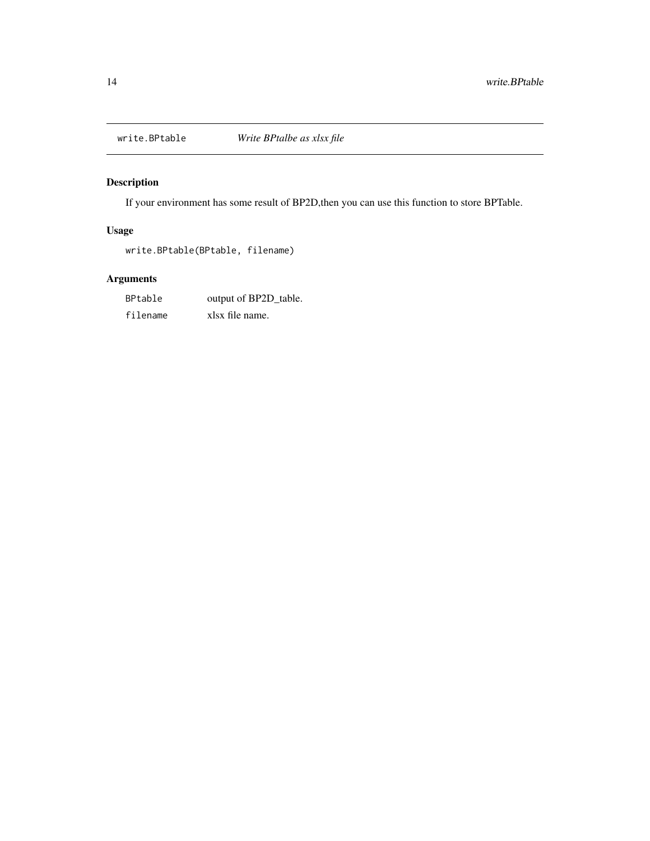<span id="page-13-0"></span>

If your environment has some result of BP2D,then you can use this function to store BPTable.

#### Usage

write.BPtable(BPtable, filename)

#### Arguments

| BPtable  | output of BP2D_table. |
|----------|-----------------------|
| filename | xlsx file name.       |